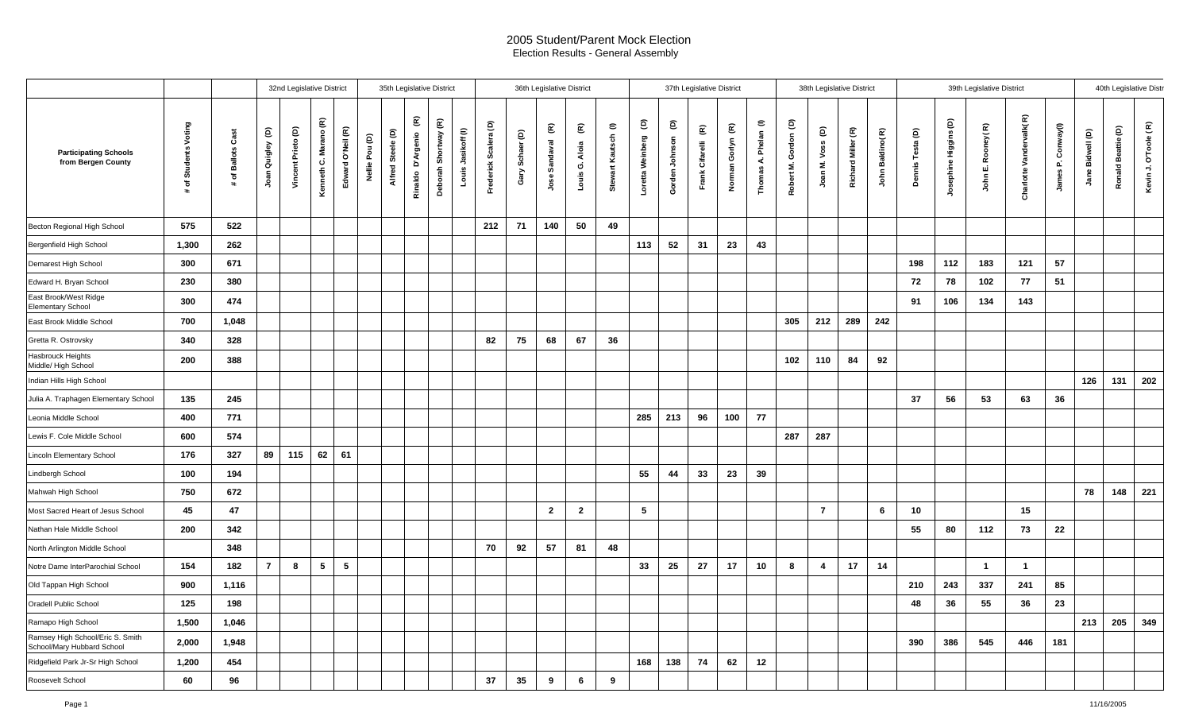## 2005 Student/Parent Mock Election Election Results - General Assembly

|                                                                |                    |                   |                      | 32nd Legislative District |                       |                   |                | 35th Legislative District |                           |                      | 36th Legislative District<br>37th Legislative District |                          |                                          |                       |                                          |                          |                       | 38th Legislative District |                                           |                                         |                      | 39th Legislative District |                                           |                    |                 |                  |                       | 40th Legislative Distr |                         |                          |                     |                    |                      |
|----------------------------------------------------------------|--------------------|-------------------|----------------------|---------------------------|-----------------------|-------------------|----------------|---------------------------|---------------------------|----------------------|--------------------------------------------------------|--------------------------|------------------------------------------|-----------------------|------------------------------------------|--------------------------|-----------------------|---------------------------|-------------------------------------------|-----------------------------------------|----------------------|---------------------------|-------------------------------------------|--------------------|-----------------|------------------|-----------------------|------------------------|-------------------------|--------------------------|---------------------|--------------------|----------------------|
| <b>Participating Schools</b><br>from Bergen County             | of Students Voting | # of Ballots Cast | ê<br>Quigley<br>Joan | Vincent Prieto (D)        | Kenneth C. Marano (R) | Edward O'Neil (R) | Nellie Pou (D) | Alfred Steele (D)         | E<br>D'Argenio<br>Rinaldo | Deborah Shortway (R) | Jasikoff (I)<br>Louis.                                 | Scalera (D)<br>Frederick | $\widehat{\mathsf{e}}$<br>Schaer<br>Gary | E<br>Sandaval<br>Jose | $\widehat{\mathbf{g}}$<br>Louis G. Aloia | $\in$<br>Stewart Kautsch | ê<br>Loretta Weinberg | ê<br>Gorden Johnson       | $\widehat{\mathbf{E}}$<br>Frank Cifarelli | $\widehat{\mathbf{g}}$<br>Norman Gorlyn | Thomas A. Phelan (I) | Robert M. Gordon (D)      | $\widehat{\mathsf{e}}$<br>Voss<br>Joan M. | Richard Miller (R) | John Baldino(R) | Dennis Testa (D) | Josephine Higgins (D) | John E. Rooney(R)      | Charlotte Vandervalk(R) | Conway(I)<br>Δ.<br>James | Bidwell (D)<br>Jane | Ronald Beattie (D) | Kevin J. O'Toole (R) |
| Becton Regional High School                                    | 575                | 522               |                      |                           |                       |                   |                |                           |                           |                      |                                                        | 212                      | 71                                       | 140                   | 50                                       | 49                       |                       |                           |                                           |                                         |                      |                           |                                           |                    |                 |                  |                       |                        |                         |                          |                     |                    |                      |
| Bergenfield High School                                        | 1,300              | 262               |                      |                           |                       |                   |                |                           |                           |                      |                                                        |                          |                                          |                       |                                          |                          | 113                   | 52                        | 31                                        | 23                                      | 43                   |                           |                                           |                    |                 |                  |                       |                        |                         |                          |                     |                    |                      |
| Demarest High School                                           | 300                | 671               |                      |                           |                       |                   |                |                           |                           |                      |                                                        |                          |                                          |                       |                                          |                          |                       |                           |                                           |                                         |                      |                           |                                           |                    |                 | 198              | 112                   | 183                    | 121                     | 57                       |                     |                    |                      |
| Edward H. Bryan School                                         | 230                | 380               |                      |                           |                       |                   |                |                           |                           |                      |                                                        |                          |                                          |                       |                                          |                          |                       |                           |                                           |                                         |                      |                           |                                           |                    |                 | 72               | 78                    | 102                    | 77                      | 51                       |                     |                    |                      |
| East Brook/West Ridge<br>Elementary School                     | 300                | 474               |                      |                           |                       |                   |                |                           |                           |                      |                                                        |                          |                                          |                       |                                          |                          |                       |                           |                                           |                                         |                      |                           |                                           |                    |                 | 91               | 106                   | 134                    | 143                     |                          |                     |                    |                      |
| East Brook Middle School                                       | 700                | 1,048             |                      |                           |                       |                   |                |                           |                           |                      |                                                        |                          |                                          |                       |                                          |                          |                       |                           |                                           |                                         |                      | 305                       | 212                                       | 289                | 242             |                  |                       |                        |                         |                          |                     |                    |                      |
| Gretta R. Ostrovsky                                            | 340                | 328               |                      |                           |                       |                   |                |                           |                           |                      |                                                        | 82                       | 75                                       | 68                    | 67                                       | 36                       |                       |                           |                                           |                                         |                      |                           |                                           |                    |                 |                  |                       |                        |                         |                          |                     |                    |                      |
| Hasbrouck Heights<br>Middle/ High School                       | 200                | 388               |                      |                           |                       |                   |                |                           |                           |                      |                                                        |                          |                                          |                       |                                          |                          |                       |                           |                                           |                                         |                      | 102                       | 110                                       | 84                 | 92              |                  |                       |                        |                         |                          |                     |                    |                      |
| Indian Hills High School                                       |                    |                   |                      |                           |                       |                   |                |                           |                           |                      |                                                        |                          |                                          |                       |                                          |                          |                       |                           |                                           |                                         |                      |                           |                                           |                    |                 |                  |                       |                        |                         |                          | 126                 | 131                | 202                  |
| Julia A. Traphagen Elementary School                           | 135                | 245               |                      |                           |                       |                   |                |                           |                           |                      |                                                        |                          |                                          |                       |                                          |                          |                       |                           |                                           |                                         |                      |                           |                                           |                    |                 | 37               | 56                    | 53                     | 63                      | 36                       |                     |                    |                      |
| Leonia Middle School                                           | 400                | 771               |                      |                           |                       |                   |                |                           |                           |                      |                                                        |                          |                                          |                       |                                          |                          | 285                   | 213                       | 96                                        | 100                                     | 77                   |                           |                                           |                    |                 |                  |                       |                        |                         |                          |                     |                    |                      |
| Lewis F. Cole Middle School                                    | 600                | 574               |                      |                           |                       |                   |                |                           |                           |                      |                                                        |                          |                                          |                       |                                          |                          |                       |                           |                                           |                                         |                      | 287                       | 287                                       |                    |                 |                  |                       |                        |                         |                          |                     |                    |                      |
| Lincoln Elementary School                                      | 176                | 327               | 89                   | 115                       | 62                    | 61                |                |                           |                           |                      |                                                        |                          |                                          |                       |                                          |                          |                       |                           |                                           |                                         |                      |                           |                                           |                    |                 |                  |                       |                        |                         |                          |                     |                    |                      |
| Lindbergh School                                               | 100                | 194               |                      |                           |                       |                   |                |                           |                           |                      |                                                        |                          |                                          |                       |                                          |                          | 55                    | 44                        | 33                                        | 23                                      | 39                   |                           |                                           |                    |                 |                  |                       |                        |                         |                          |                     |                    |                      |
| Mahwah High School                                             | 750                | 672               |                      |                           |                       |                   |                |                           |                           |                      |                                                        |                          |                                          |                       |                                          |                          |                       |                           |                                           |                                         |                      |                           |                                           |                    |                 |                  |                       |                        |                         |                          | 78                  | 148                | 221                  |
| Most Sacred Heart of Jesus School                              | 45                 | 47                |                      |                           |                       |                   |                |                           |                           |                      |                                                        |                          |                                          | $\overline{2}$        | $\overline{2}$                           |                          | 5                     |                           |                                           |                                         |                      |                           | $\overline{7}$                            |                    | 6               | 10               |                       |                        | 15                      |                          |                     |                    |                      |
| Nathan Hale Middle School                                      | 200                | 342               |                      |                           |                       |                   |                |                           |                           |                      |                                                        |                          |                                          |                       |                                          |                          |                       |                           |                                           |                                         |                      |                           |                                           |                    |                 | 55               | 80                    | 112                    | 73                      | 22                       |                     |                    |                      |
| North Arlington Middle School                                  |                    | 348               |                      |                           |                       |                   |                |                           |                           |                      |                                                        | 70                       | 92                                       | 57                    | 81                                       | 48                       |                       |                           |                                           |                                         |                      |                           |                                           |                    |                 |                  |                       |                        |                         |                          |                     |                    |                      |
| Notre Dame InterParochial School                               | 154                | 182               | $\overline{7}$       | 8                         | $5\phantom{.0}$       | $\sqrt{5}$        |                |                           |                           |                      |                                                        |                          |                                          |                       |                                          |                          | 33                    | 25                        | 27                                        | 17                                      | 10                   | 8                         | 4                                         | 17                 | 14              |                  |                       | $\mathbf{1}$           | $\overline{1}$          |                          |                     |                    |                      |
| Old Tappan High School                                         | 900                | 1,116             |                      |                           |                       |                   |                |                           |                           |                      |                                                        |                          |                                          |                       |                                          |                          |                       |                           |                                           |                                         |                      |                           |                                           |                    |                 | 210              | 243                   | 337                    | 241                     | 85                       |                     |                    |                      |
| Oradell Public School                                          | 125                | 198               |                      |                           |                       |                   |                |                           |                           |                      |                                                        |                          |                                          |                       |                                          |                          |                       |                           |                                           |                                         |                      |                           |                                           |                    |                 | 48               | 36                    | 55                     | 36                      | 23                       |                     |                    |                      |
| Ramapo High School                                             | 1,500              | 1,046             |                      |                           |                       |                   |                |                           |                           |                      |                                                        |                          |                                          |                       |                                          |                          |                       |                           |                                           |                                         |                      |                           |                                           |                    |                 |                  |                       |                        |                         |                          | 213                 | 205                | 349                  |
| Ramsey High School/Eric S. Smith<br>School/Mary Hubbard School | 2,000              | 1,948             |                      |                           |                       |                   |                |                           |                           |                      |                                                        |                          |                                          |                       |                                          |                          |                       |                           |                                           |                                         |                      |                           |                                           |                    |                 | 390              | 386                   | 545                    | 446                     | 181                      |                     |                    |                      |
| Ridgefield Park Jr-Sr High School                              | 1,200              | 454               |                      |                           |                       |                   |                |                           |                           |                      |                                                        |                          |                                          |                       |                                          |                          | 168                   | 138                       | 74                                        | 62                                      | 12                   |                           |                                           |                    |                 |                  |                       |                        |                         |                          |                     |                    |                      |
| Roosevelt School                                               | 60                 | 96                |                      |                           |                       |                   |                |                           |                           |                      |                                                        | 37                       | 35                                       | 9                     | $6\phantom{.}6$                          | 9                        |                       |                           |                                           |                                         |                      |                           |                                           |                    |                 |                  |                       |                        |                         |                          |                     |                    |                      |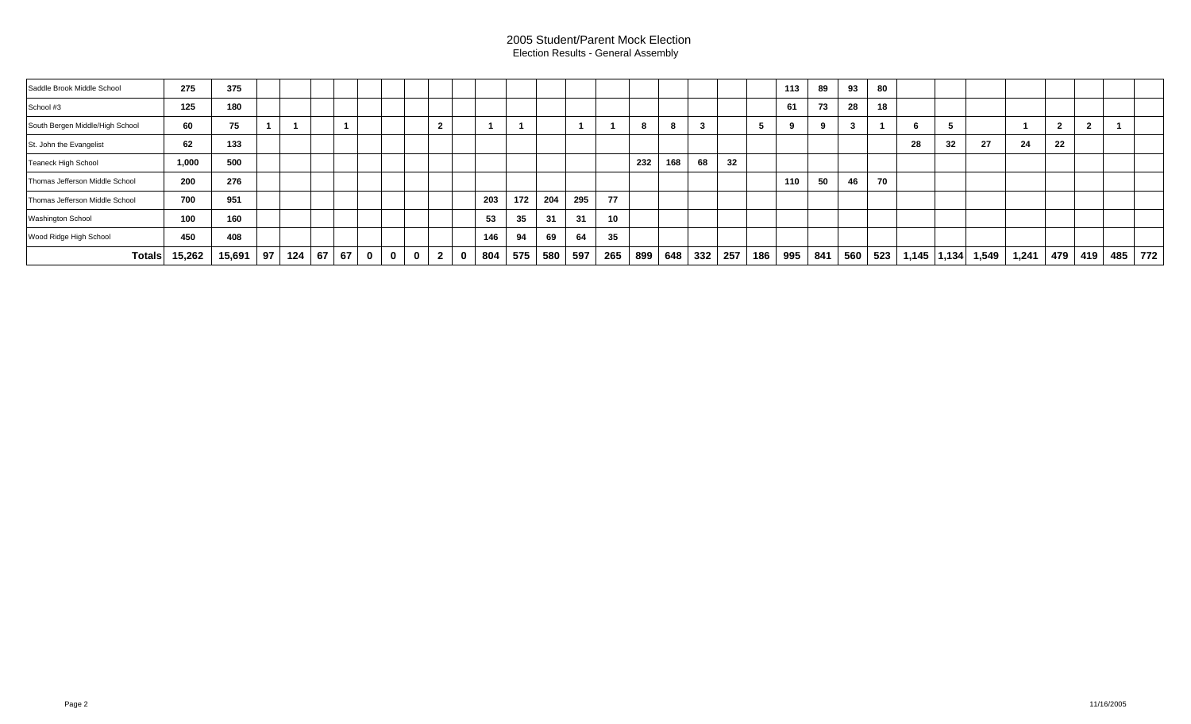## 2005 Student/Parent Mock Election Election Results - General Assembly

| Saddle Brook Middle School      | 275    | 375    |    |     |    |    |             |              |             |              |   |     |     |     |     |     |     |         |    |     |     | 113 | 89  | 93  | 80  |                 |    |       |       |     |     |         |  |
|---------------------------------|--------|--------|----|-----|----|----|-------------|--------------|-------------|--------------|---|-----|-----|-----|-----|-----|-----|---------|----|-----|-----|-----|-----|-----|-----|-----------------|----|-------|-------|-----|-----|---------|--|
| School #3                       | 125    | 180    |    |     |    |    |             |              |             |              |   |     |     |     |     |     |     |         |    |     |     | 61  | 73  | 28  | 18  |                 |    |       |       |     |     |         |  |
| South Bergen Middle/High School | 60     | 75     |    |     |    |    |             |              |             |              |   |     |     |     |     |     |     |         |    |     |     |     |     |     |     |                 |    |       |       |     |     |         |  |
| St. John the Evangelist         | 62     | 133    |    |     |    |    |             |              |             |              |   |     |     |     |     |     |     |         |    |     |     |     |     |     |     | 28              | 32 | 27    | 24    | 22  |     |         |  |
| <b>Teaneck High School</b>      | 1,000  | 500    |    |     |    |    |             |              |             |              |   |     |     |     |     |     | 232 | 168     | 68 | 32  |     |     |     |     |     |                 |    |       |       |     |     |         |  |
| Thomas Jefferson Middle School  | 200    | 276    |    |     |    |    |             |              |             |              |   |     |     |     |     |     |     |         |    |     |     | 110 | 50  | 46  | 70  |                 |    |       |       |     |     |         |  |
| Thomas Jefferson Middle School  | 700    | 951    |    |     |    |    |             |              |             |              |   | 203 | 172 | 204 | 295 | 77  |     |         |    |     |     |     |     |     |     |                 |    |       |       |     |     |         |  |
| Washington School               | 100    | 160    |    |     |    |    |             |              |             |              |   | 53  | 35  | 31  | 31  | 10  |     |         |    |     |     |     |     |     |     |                 |    |       |       |     |     |         |  |
| Wood Ridge High School          | 450    | 408    |    |     |    |    |             |              |             |              |   | 146 | 94  | 69  | 64  | 35  |     |         |    |     |     |     |     |     |     |                 |    |       |       |     |     |         |  |
| <b>Totals</b>                   | 15,262 | 15,691 | 97 | 124 | 67 | 67 | $\mathbf 0$ | $\mathbf{0}$ | $\mathbf 0$ | $\mathbf{2}$ | 0 | 804 | 575 | 580 | 597 | 265 | 899 | 648 332 |    | 257 | 186 | 995 | 841 | 560 | 523 | $1,145$   1,134 |    | 1,549 | 1,241 | 479 | 419 | 485 772 |  |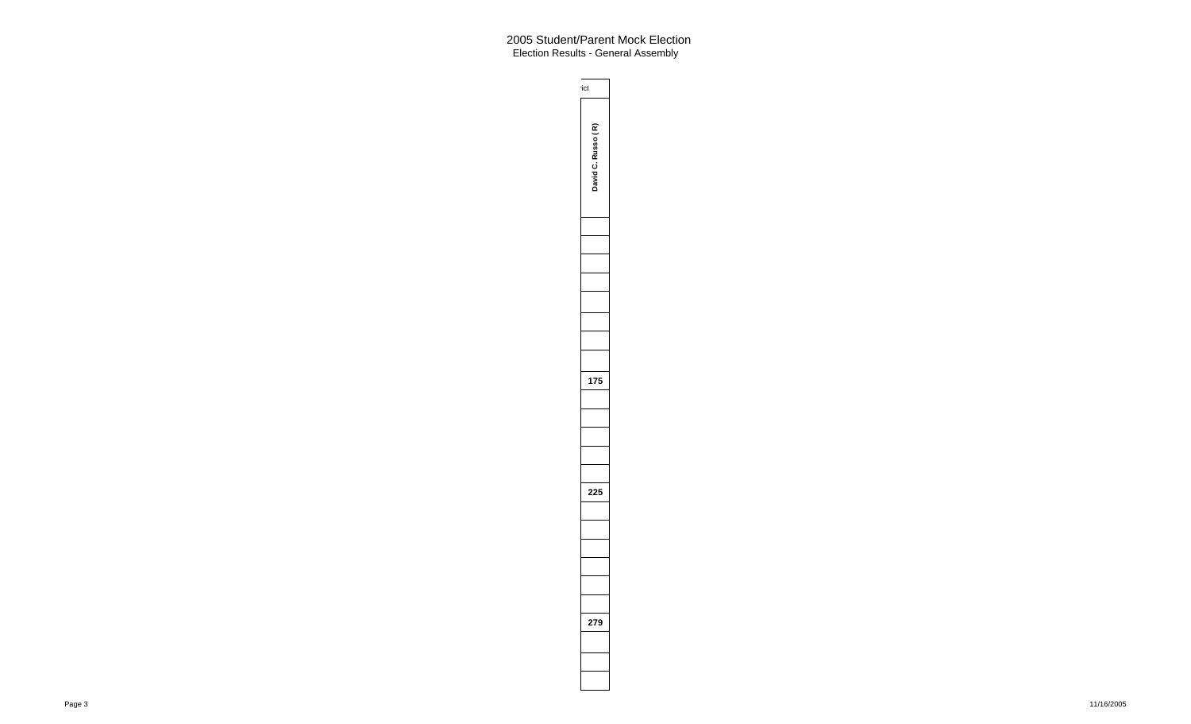